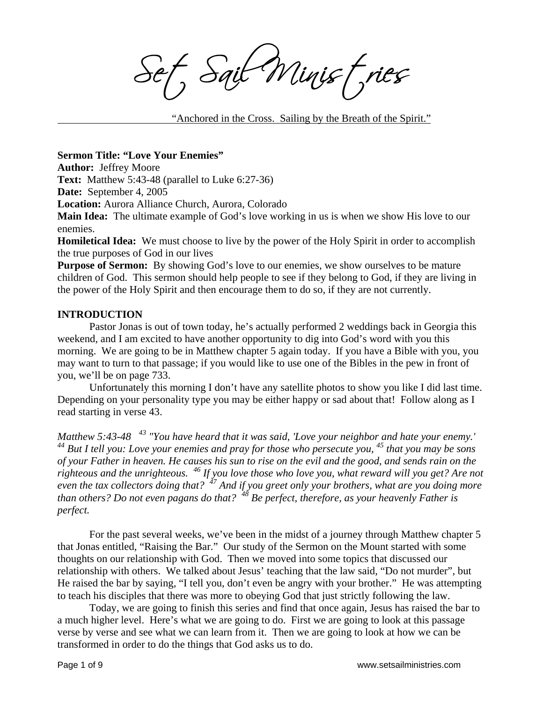Sait Minist, ries

"Anchored in the Cross. Sailing by the Breath of the Spirit."

### **Sermon Title: "Love Your Enemies"**

**Author:** Jeffrey Moore

**Text:** Matthew 5:43-48 (parallel to Luke 6:27-36)

**Date:** September 4, 2005

**Location:** Aurora Alliance Church, Aurora, Colorado

**Main Idea:** The ultimate example of God's love working in us is when we show His love to our enemies.

**Homiletical Idea:** We must choose to live by the power of the Holy Spirit in order to accomplish the true purposes of God in our lives

**Purpose of Sermon:** By showing God's love to our enemies, we show ourselves to be mature children of God. This sermon should help people to see if they belong to God, if they are living in the power of the Holy Spirit and then encourage them to do so, if they are not currently.

#### **INTRODUCTION**

 Pastor Jonas is out of town today, he's actually performed 2 weddings back in Georgia this weekend, and I am excited to have another opportunity to dig into God's word with you this morning. We are going to be in Matthew chapter 5 again today. If you have a Bible with you, you may want to turn to that passage; if you would like to use one of the Bibles in the pew in front of you, we'll be on page 733.

Unfortunately this morning I don't have any satellite photos to show you like I did last time. Depending on your personality type you may be either happy or sad about that! Follow along as I read starting in verse 43.

*Matthew 5:43-48 43 "You have heard that it was said, 'Love your neighbor and hate your enemy.' 44 But I tell you: Love your enemies and pray for those who persecute you, 45 that you may be sons of your Father in heaven. He causes his sun to rise on the evil and the good, and sends rain on the righteous and the unrighteous. 46 If you love those who love you, what reward will you get? Are not even the tax collectors doing that? 47 And if you greet only your brothers, what are you doing more than others? Do not even pagans do that? 48 Be perfect, therefore, as your heavenly Father is perfect.* 

 For the past several weeks, we've been in the midst of a journey through Matthew chapter 5 that Jonas entitled, "Raising the Bar." Our study of the Sermon on the Mount started with some thoughts on our relationship with God. Then we moved into some topics that discussed our relationship with others. We talked about Jesus' teaching that the law said, "Do not murder", but He raised the bar by saying, "I tell you, don't even be angry with your brother." He was attempting to teach his disciples that there was more to obeying God that just strictly following the law.

 Today, we are going to finish this series and find that once again, Jesus has raised the bar to a much higher level. Here's what we are going to do. First we are going to look at this passage verse by verse and see what we can learn from it. Then we are going to look at how we can be transformed in order to do the things that God asks us to do.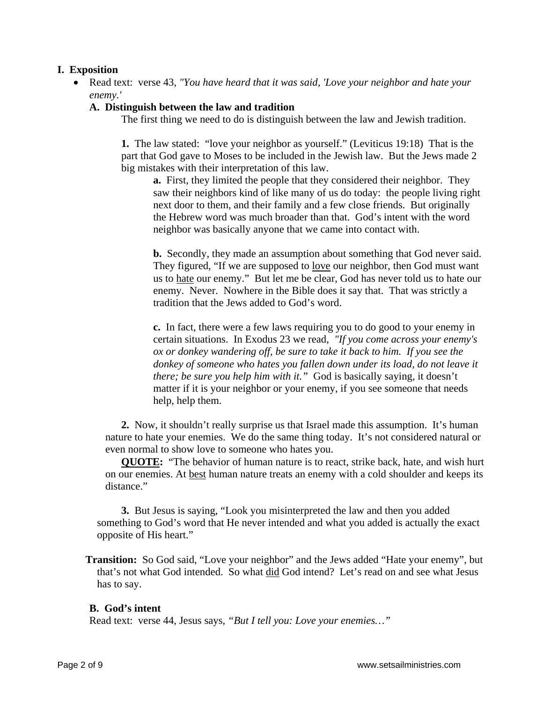# **I. Exposition**

• Read text: verse 43, *"You have heard that it was said, 'Love your neighbor and hate your enemy.'* 

## **A. Distinguish between the law and tradition**

The first thing we need to do is distinguish between the law and Jewish tradition.

**1.** The law stated: "love your neighbor as yourself." (Leviticus 19:18) That is the part that God gave to Moses to be included in the Jewish law. But the Jews made 2 big mistakes with their interpretation of this law.

**a.** First, they limited the people that they considered their neighbor. They saw their neighbors kind of like many of us do today: the people living right next door to them, and their family and a few close friends. But originally the Hebrew word was much broader than that. God's intent with the word neighbor was basically anyone that we came into contact with.

**b.** Secondly, they made an assumption about something that God never said. They figured, "If we are supposed to love our neighbor, then God must want us to hate our enemy." But let me be clear, God has never told us to hate our enemy. Never. Nowhere in the Bible does it say that. That was strictly a tradition that the Jews added to God's word.

**c.** In fact, there were a few laws requiring you to do good to your enemy in certain situations. In Exodus 23 we read, *"If you come across your enemy's ox or donkey wandering off, be sure to take it back to him. If you see the donkey of someone who hates you fallen down under its load, do not leave it there; be sure you help him with it.*" God is basically saying, it doesn't matter if it is your neighbor or your enemy, if you see someone that needs help, help them.

 **2.** Now, it shouldn't really surprise us that Israel made this assumption. It's human nature to hate your enemies. We do the same thing today. It's not considered natural or even normal to show love to someone who hates you.

 **QUOTE:** "The behavior of human nature is to react, strike back, hate, and wish hurt on our enemies. At best human nature treats an enemy with a cold shoulder and keeps its distance."

 **3.** But Jesus is saying, "Look you misinterpreted the law and then you added something to God's word that He never intended and what you added is actually the exact opposite of His heart."

**Transition:** So God said, "Love your neighbor" and the Jews added "Hate your enemy", but that's not what God intended. So what did God intend? Let's read on and see what Jesus has to say.

#### **B. God's intent**

Read text: verse 44, Jesus says, *"But I tell you: Love your enemies…"*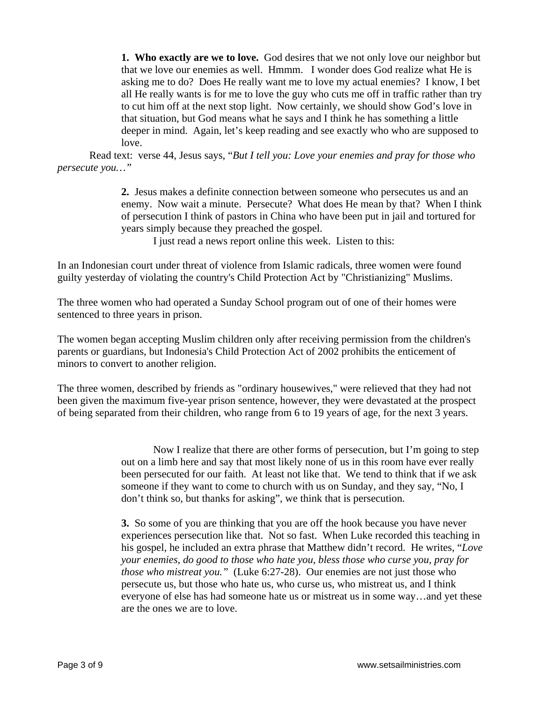**1. Who exactly are we to love.** God desires that we not only love our neighbor but that we love our enemies as well. Hmmm. I wonder does God realize what He is asking me to do? Does He really want me to love my actual enemies? I know, I bet all He really wants is for me to love the guy who cuts me off in traffic rather than try to cut him off at the next stop light. Now certainly, we should show God's love in that situation, but God means what he says and I think he has something a little deeper in mind. Again, let's keep reading and see exactly who who are supposed to love.

 Read text: verse 44, Jesus says, "*But I tell you: Love your enemies and pray for those who persecute you…"*

> **2.** Jesus makes a definite connection between someone who persecutes us and an enemy. Now wait a minute. Persecute? What does He mean by that? When I think of persecution I think of pastors in China who have been put in jail and tortured for years simply because they preached the gospel.

I just read a news report online this week. Listen to this:

In an Indonesian court under threat of violence from Islamic radicals, three women were found guilty yesterday of violating the country's Child Protection Act by "Christianizing" Muslims.

The three women who had operated a Sunday School program out of one of their homes were sentenced to three years in prison.

The women began accepting Muslim children only after receiving permission from the children's parents or guardians, but Indonesia's Child Protection Act of 2002 prohibits the enticement of minors to convert to another religion.

The three women, described by friends as "ordinary housewives," were relieved that they had not been given the maximum five-year prison sentence, however, they were devastated at the prospect of being separated from their children, who range from 6 to 19 years of age, for the next 3 years.

> Now I realize that there are other forms of persecution, but I'm going to step out on a limb here and say that most likely none of us in this room have ever really been persecuted for our faith. At least not like that. We tend to think that if we ask someone if they want to come to church with us on Sunday, and they say, "No, I don't think so, but thanks for asking", we think that is persecution.

**3.** So some of you are thinking that you are off the hook because you have never experiences persecution like that. Not so fast. When Luke recorded this teaching in his gospel, he included an extra phrase that Matthew didn't record. He writes, "*Love your enemies, do good to those who hate you, bless those who curse you, pray for those who mistreat you."* (Luke 6:27-28). Our enemies are not just those who persecute us, but those who hate us, who curse us, who mistreat us, and I think everyone of else has had someone hate us or mistreat us in some way…and yet these are the ones we are to love.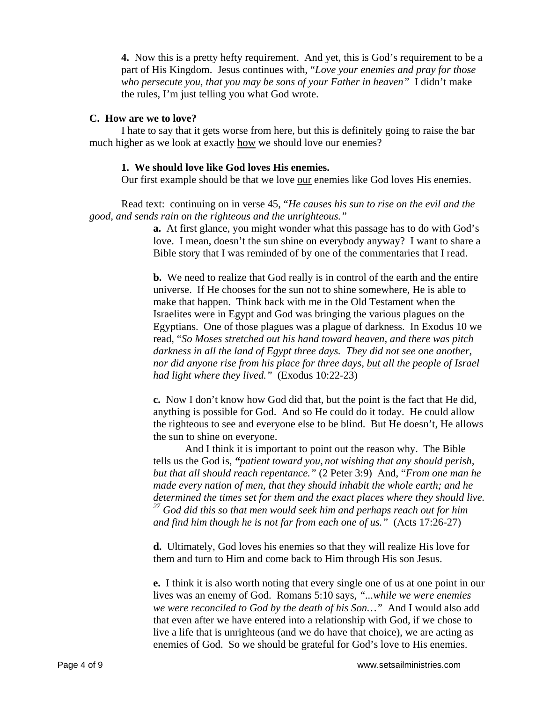**4.** Now this is a pretty hefty requirement. And yet, this is God's requirement to be a part of His Kingdom. Jesus continues with, "*Love your enemies and pray for those who persecute you, that you may be sons of your Father in heaven"* I didn't make the rules, I'm just telling you what God wrote.

#### **C. How are we to love?**

I hate to say that it gets worse from here, but this is definitely going to raise the bar much higher as we look at exactly how we should love our enemies?

#### **1. We should love like God loves His enemies.**

Our first example should be that we love our enemies like God loves His enemies.

Read text: continuing on in verse 45, "*He causes his sun to rise on the evil and the good, and sends rain on the righteous and the unrighteous."*

> **a.** At first glance, you might wonder what this passage has to do with God's love. I mean, doesn't the sun shine on everybody anyway? I want to share a Bible story that I was reminded of by one of the commentaries that I read.

> **b.** We need to realize that God really is in control of the earth and the entire universe. If He chooses for the sun not to shine somewhere, He is able to make that happen. Think back with me in the Old Testament when the Israelites were in Egypt and God was bringing the various plagues on the Egyptians. One of those plagues was a plague of darkness. In Exodus 10 we read, "*So Moses stretched out his hand toward heaven, and there was pitch darkness in all the land of Egypt three days. They did not see one another, nor did anyone rise from his place for three days, but all the people of Israel had light where they lived."* (Exodus 10:22-23)

> **c.** Now I don't know how God did that, but the point is the fact that He did, anything is possible for God. And so He could do it today. He could allow the righteous to see and everyone else to be blind. But He doesn't, He allows the sun to shine on everyone.

> And I think it is important to point out the reason why. The Bible tells us the God is, *"patient toward you, not wishing that any should perish, but that all should reach repentance."* (2 Peter 3:9) And, "*From one man he made every nation of men, that they should inhabit the whole earth; and he determined the times set for them and the exact places where they should live. 27 God did this so that men would seek him and perhaps reach out for him and find him though he is not far from each one of us."* (Acts 17:26-27)

**d.** Ultimately, God loves his enemies so that they will realize His love for them and turn to Him and come back to Him through His son Jesus.

**e.** I think it is also worth noting that every single one of us at one point in our lives was an enemy of God. Romans 5:10 says, *"...while we were enemies we were reconciled to God by the death of his Son…"* And I would also add that even after we have entered into a relationship with God, if we chose to live a life that is unrighteous (and we do have that choice), we are acting as enemies of God. So we should be grateful for God's love to His enemies.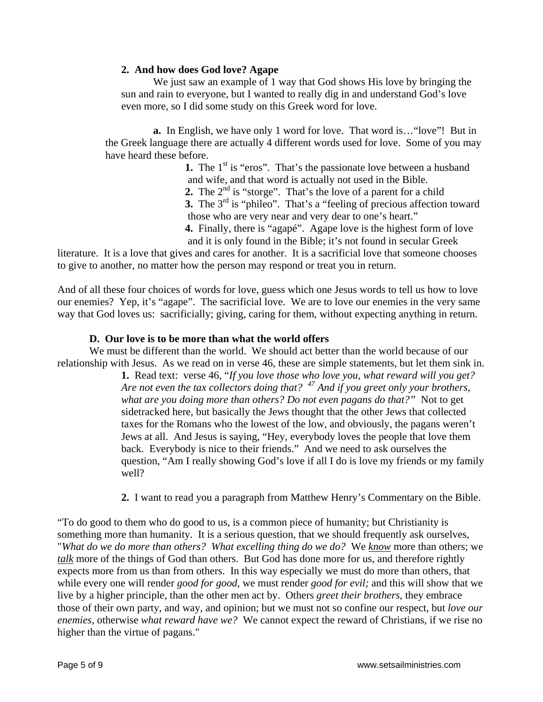## **2. And how does God love? Agape**

We just saw an example of 1 way that God shows His love by bringing the sun and rain to everyone, but I wanted to really dig in and understand God's love even more, so I did some study on this Greek word for love.

 **a.** In English, we have only 1 word for love. That word is…"love"! But in the Greek language there are actually 4 different words used for love. Some of you may have heard these before.

> **1.** The 1<sup>st</sup> is "eros". That's the passionate love between a husband and wife, and that word is actually not used in the Bible.

**2.** The 2<sup>nd</sup> is "storge". That's the love of a parent for a child

**3.** The 3<sup>rd</sup> is "phileo". That's a "feeling of precious affection toward those who are very near and very dear to one's heart."

 **4.** Finally, there is "agapé". Agape love is the highest form of love and it is only found in the Bible; it's not found in secular Greek

literature. It is a love that gives and cares for another. It is a sacrificial love that someone chooses to give to another, no matter how the person may respond or treat you in return.

And of all these four choices of words for love, guess which one Jesus words to tell us how to love our enemies? Yep, it's "agape". The sacrificial love. We are to love our enemies in the very same way that God loves us: sacrificially; giving, caring for them, without expecting anything in return.

## **D. Our love is to be more than what the world offers**

 We must be different than the world. We should act better than the world because of our relationship with Jesus. As we read on in verse 46, these are simple statements, but let them sink in.

**1.** Read text: verse 46, "*If you love those who love you, what reward will you get? Are not even the tax collectors doing that? 47 And if you greet only your brothers,*  what are you doing more than others? Do not even pagans do that?" Not to get sidetracked here, but basically the Jews thought that the other Jews that collected taxes for the Romans who the lowest of the low, and obviously, the pagans weren't Jews at all. And Jesus is saying, "Hey, everybody loves the people that love them back. Everybody is nice to their friends." And we need to ask ourselves the question, "Am I really showing God's love if all I do is love my friends or my family well?

**2.** I want to read you a paragraph from Matthew Henry's Commentary on the Bible.

"To do good to them who do good to us, is a common piece of humanity; but Christianity is something more than humanity. It is a serious question, that we should frequently ask ourselves, "*What do we do more than others? What excelling thing do we do?* We *know* more than others; we *talk* more of the things of God than others. But God has done more for us, and therefore rightly expects more from us than from others. In this way especially we must do more than others, that while every one will render *good for good,* we must render *good for evil;* and this will show that we live by a higher principle, than the other men act by. Others *greet their brothers,* they embrace those of their own party, and way, and opinion; but we must not so confine our respect, but *love our enemies,* otherwise *what reward have we?* We cannot expect the reward of Christians, if we rise no higher than the virtue of pagans."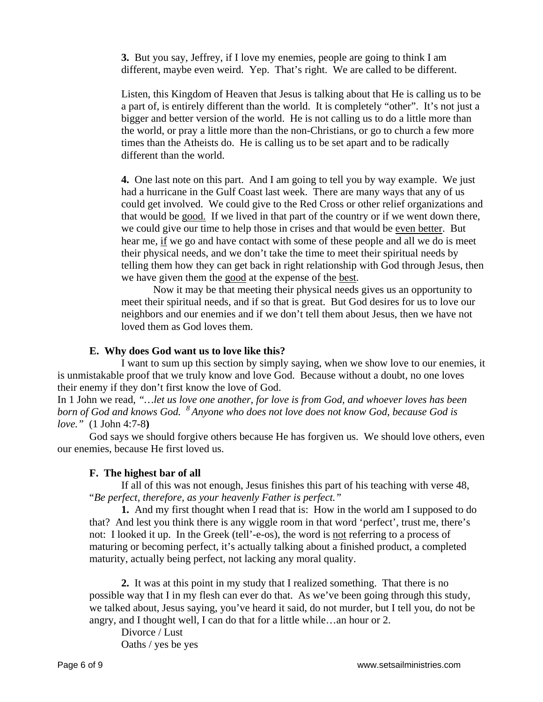**3.** But you say, Jeffrey, if I love my enemies, people are going to think I am different, maybe even weird. Yep. That's right. We are called to be different.

Listen, this Kingdom of Heaven that Jesus is talking about that He is calling us to be a part of, is entirely different than the world. It is completely "other". It's not just a bigger and better version of the world. He is not calling us to do a little more than the world, or pray a little more than the non-Christians, or go to church a few more times than the Atheists do. He is calling us to be set apart and to be radically different than the world.

**4.** One last note on this part. And I am going to tell you by way example. We just had a hurricane in the Gulf Coast last week. There are many ways that any of us could get involved. We could give to the Red Cross or other relief organizations and that would be good. If we lived in that part of the country or if we went down there, we could give our time to help those in crises and that would be even better. But hear me, if we go and have contact with some of these people and all we do is meet their physical needs, and we don't take the time to meet their spiritual needs by telling them how they can get back in right relationship with God through Jesus, then we have given them the good at the expense of the best.

 Now it may be that meeting their physical needs gives us an opportunity to meet their spiritual needs, and if so that is great. But God desires for us to love our neighbors and our enemies and if we don't tell them about Jesus, then we have not loved them as God loves them.

### **E. Why does God want us to love like this?**

 I want to sum up this section by simply saying, when we show love to our enemies, it is unmistakable proof that we truly know and love God. Because without a doubt, no one loves their enemy if they don't first know the love of God.

In 1 John we read, *"…let us love one another, for love is from God, and whoever loves has been born of God and knows God. 8 Anyone who does not love does not know God, because God is love."* (1 John 4:7-8**)**

God says we should forgive others because He has forgiven us. We should love others, even our enemies, because He first loved us.

## **F. The highest bar of all**

If all of this was not enough, Jesus finishes this part of his teaching with verse 48, "*Be perfect, therefore, as your heavenly Father is perfect."* 

**1.** And my first thought when I read that is: How in the world am I supposed to do that? And lest you think there is any wiggle room in that word 'perfect', trust me, there's not: I looked it up. In the Greek (tell'-e-os), the word is not referring to a process of maturing or becoming perfect, it's actually talking about a finished product, a completed maturity, actually being perfect, not lacking any moral quality.

**2.** It was at this point in my study that I realized something. That there is no possible way that I in my flesh can ever do that. As we've been going through this study, we talked about, Jesus saying, you've heard it said, do not murder, but I tell you, do not be angry, and I thought well, I can do that for a little while…an hour or 2.

Divorce / Lust Oaths / yes be yes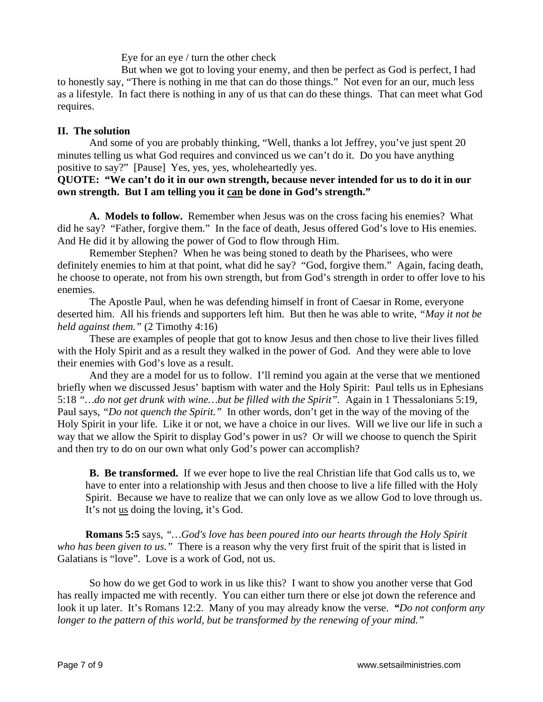Eye for an eye / turn the other check

 But when we got to loving your enemy, and then be perfect as God is perfect, I had to honestly say, "There is nothing in me that can do those things." Not even for an our, much less as a lifestyle. In fact there is nothing in any of us that can do these things. That can meet what God requires.

## **II. The solution**

 And some of you are probably thinking, "Well, thanks a lot Jeffrey, you've just spent 20 minutes telling us what God requires and convinced us we can't do it. Do you have anything positive to say?" [Pause] Yes, yes, yes, wholeheartedly yes.

## **QUOTE: "We can't do it in our own strength, because never intended for us to do it in our own strength. But I am telling you it can be done in God's strength."**

**A. Models to follow.** Remember when Jesus was on the cross facing his enemies? What did he say? "Father, forgive them." In the face of death, Jesus offered God's love to His enemies. And He did it by allowing the power of God to flow through Him.

 Remember Stephen? When he was being stoned to death by the Pharisees, who were definitely enemies to him at that point, what did he say? "God, forgive them." Again, facing death, he choose to operate, not from his own strength, but from God's strength in order to offer love to his enemies.

 The Apostle Paul, when he was defending himself in front of Caesar in Rome, everyone deserted him. All his friends and supporters left him. But then he was able to write, *"May it not be held against them."* (2 Timothy 4:16)

 These are examples of people that got to know Jesus and then chose to live their lives filled with the Holy Spirit and as a result they walked in the power of God. And they were able to love their enemies with God's love as a result.

 And they are a model for us to follow. I'll remind you again at the verse that we mentioned briefly when we discussed Jesus' baptism with water and the Holy Spirit: Paul tells us in Ephesians 5:18 *"…do not get drunk with wine…but be filled with the Spirit".* Again in 1 Thessalonians 5:19, Paul says, *"Do not quench the Spirit."* In other words, don't get in the way of the moving of the Holy Spirit in your life. Like it or not, we have a choice in our lives. Will we live our life in such a way that we allow the Spirit to display God's power in us? Or will we choose to quench the Spirit and then try to do on our own what only God's power can accomplish?

**B. Be transformed.** If we ever hope to live the real Christian life that God calls us to, we have to enter into a relationship with Jesus and then choose to live a life filled with the Holy Spirit. Because we have to realize that we can only love as we allow God to love through us. It's not us doing the loving, it's God.

**Romans 5:5** says, *"…God's love has been poured into our hearts through the Holy Spirit who has been given to us."* There is a reason why the very first fruit of the spirit that is listed in Galatians is "love". Love is a work of God, not us.

 So how do we get God to work in us like this? I want to show you another verse that God has really impacted me with recently. You can either turn there or else jot down the reference and look it up later. It's Romans 12:2. Many of you may already know the verse. *"Do not conform any longer to the pattern of this world, but be transformed by the renewing of your mind."*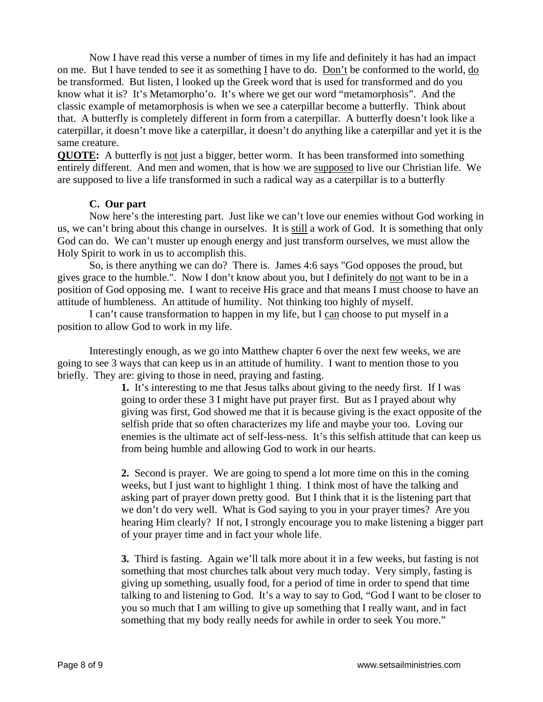Now I have read this verse a number of times in my life and definitely it has had an impact on me. But I have tended to see it as something I have to do. Don't be conformed to the world, do be transformed. But listen, I looked up the Greek word that is used for transformed and do you know what it is? It's Metamorpho'o. It's where we get our word "metamorphosis". And the classic example of metamorphosis is when we see a caterpillar become a butterfly. Think about that. A butterfly is completely different in form from a caterpillar. A butterfly doesn't look like a caterpillar, it doesn't move like a caterpillar, it doesn't do anything like a caterpillar and yet it is the same creature.

**QUOTE:** A butterfly is not just a bigger, better worm. It has been transformed into something entirely different. And men and women, that is how we are supposed to live our Christian life. We are supposed to live a life transformed in such a radical way as a caterpillar is to a butterfly

## **C. Our part**

 Now here's the interesting part. Just like we can't love our enemies without God working in us, we can't bring about this change in ourselves. It is still a work of God. It is something that only God can do. We can't muster up enough energy and just transform ourselves, we must allow the Holy Spirit to work in us to accomplish this.

 So, is there anything we can do? There is. James 4:6 says "God opposes the proud, but gives grace to the humble.". Now I don't know about you, but I definitely do not want to be in a position of God opposing me. I want to receive His grace and that means I must choose to have an attitude of humbleness. An attitude of humility. Not thinking too highly of myself.

 I can't cause transformation to happen in my life, but I can choose to put myself in a position to allow God to work in my life.

 Interestingly enough, as we go into Matthew chapter 6 over the next few weeks, we are going to see 3 ways that can keep us in an attitude of humility. I want to mention those to you briefly. They are: giving to those in need, praying and fasting.

> **1.** It's interesting to me that Jesus talks about giving to the needy first. If I was going to order these 3 I might have put prayer first. But as I prayed about why giving was first, God showed me that it is because giving is the exact opposite of the selfish pride that so often characterizes my life and maybe your too. Loving our enemies is the ultimate act of self-less-ness. It's this selfish attitude that can keep us from being humble and allowing God to work in our hearts.

> **2.** Second is prayer. We are going to spend a lot more time on this in the coming weeks, but I just want to highlight 1 thing. I think most of have the talking and asking part of prayer down pretty good. But I think that it is the listening part that we don't do very well. What is God saying to you in your prayer times? Are you hearing Him clearly? If not, I strongly encourage you to make listening a bigger part of your prayer time and in fact your whole life.

> **3.** Third is fasting. Again we'll talk more about it in a few weeks, but fasting is not something that most churches talk about very much today. Very simply, fasting is giving up something, usually food, for a period of time in order to spend that time talking to and listening to God. It's a way to say to God, "God I want to be closer to you so much that I am willing to give up something that I really want, and in fact something that my body really needs for awhile in order to seek You more."